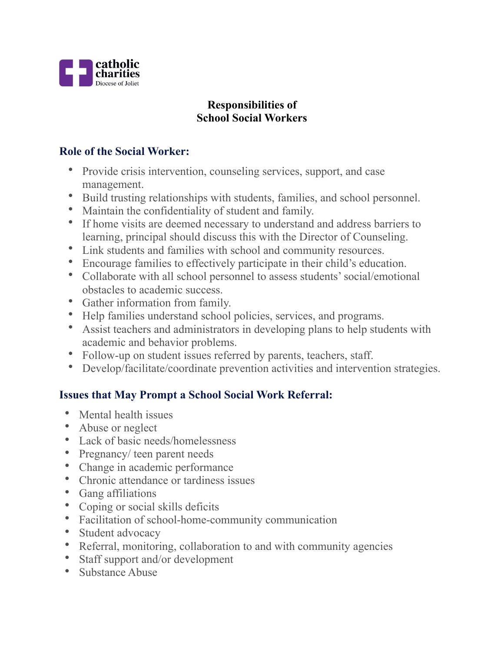

# **Responsibilities of School Social Workers**

## **Role of the Social Worker:**

- Provide crisis intervention, counseling services, support, and case management.
- Build trusting relationships with students, families, and school personnel.
- Maintain the confidentiality of student and family.
- If home visits are deemed necessary to understand and address barriers to learning, principal should discuss this with the Director of Counseling.
- Link students and families with school and community resources.
- Encourage families to effectively participate in their child's education.
- Collaborate with all school personnel to assess students' social/emotional obstacles to academic success.
- Gather information from family.
- Help families understand school policies, services, and programs.
- Assist teachers and administrators in developing plans to help students with academic and behavior problems.
- Follow-up on student issues referred by parents, teachers, staff.
- Develop/facilitate/coordinate prevention activities and intervention strategies.

# **Issues that May Prompt a School Social Work Referral:**

- Mental health issues
- Abuse or neglect
- Lack of basic needs/homelessness
- Pregnancy/ teen parent needs
- Change in academic performance
- Chronic attendance or tardiness issues
- Gang affiliations
- Coping or social skills deficits
- Facilitation of school-home-community communication
- Student advocacy
- Referral, monitoring, collaboration to and with community agencies
- Staff support and/or development
- Substance Abuse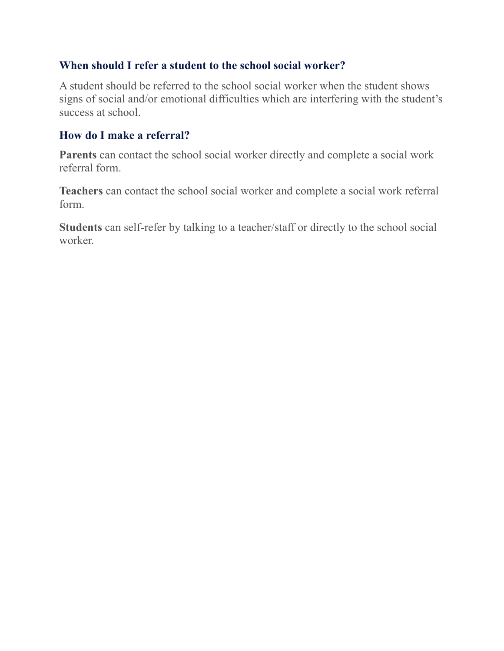#### **When should I refer a student to the school social worker?**

A student should be referred to the school social worker when the student shows signs of social and/or emotional difficulties which are interfering with the student's success at school.

## **How do I make a referral?**

**Parents** can contact the school social worker directly and complete a social work referral form.

**Teachers** can contact the school social worker and complete a social work referral form.

**Students** can self-refer by talking to a teacher/staff or directly to the school social worker.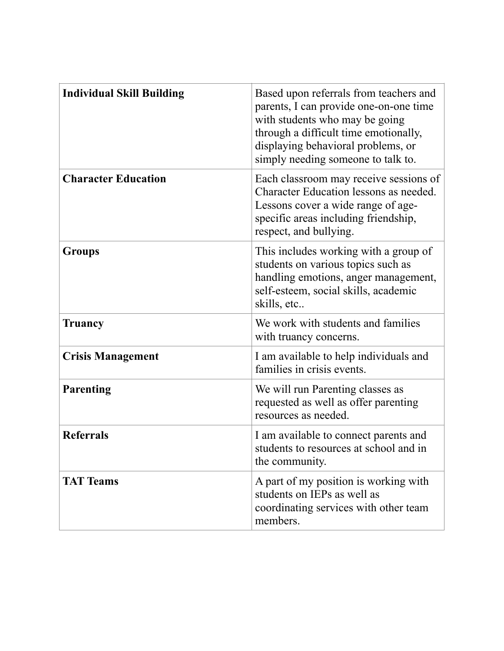| <b>Individual Skill Building</b> | Based upon referrals from teachers and<br>parents, I can provide one-on-one time<br>with students who may be going<br>through a difficult time emotionally,<br>displaying behavioral problems, or<br>simply needing someone to talk to. |
|----------------------------------|-----------------------------------------------------------------------------------------------------------------------------------------------------------------------------------------------------------------------------------------|
| <b>Character Education</b>       | Each classroom may receive sessions of<br>Character Education lessons as needed.<br>Lessons cover a wide range of age-<br>specific areas including friendship,<br>respect, and bullying.                                                |
| <b>Groups</b>                    | This includes working with a group of<br>students on various topics such as<br>handling emotions, anger management,<br>self-esteem, social skills, academic<br>skills, etc                                                              |
| <b>Truancy</b>                   | We work with students and families<br>with truancy concerns.                                                                                                                                                                            |
| <b>Crisis Management</b>         | I am available to help individuals and<br>families in crisis events.                                                                                                                                                                    |
| Parenting                        | We will run Parenting classes as<br>requested as well as offer parenting<br>resources as needed.                                                                                                                                        |
| <b>Referrals</b>                 | I am available to connect parents and<br>students to resources at school and in<br>the community.                                                                                                                                       |
| <b>TAT Teams</b>                 | A part of my position is working with<br>students on IEPs as well as<br>coordinating services with other team<br>members.                                                                                                               |